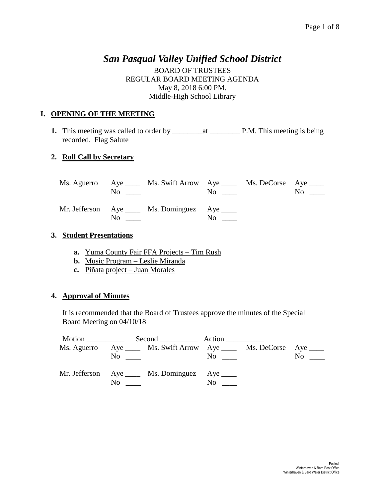# *San Pasqual Valley Unified School District*

BOARD OF TRUSTEES REGULAR BOARD MEETING AGENDA May 8, 2018 6:00 PM. Middle-High School Library

#### **I. OPENING OF THE MEETING**

**1.** This meeting was called to order by \_\_\_\_\_\_\_\_at \_\_\_\_\_\_\_\_ P.M. This meeting is being recorded. Flag Salute

## **2. Roll Call by Secretary**

|          | Ms. Aguerro Aye _____ Ms. Swift Arrow Aye ______ Ms. DeCorse Aye _____<br>$\overline{N}$ $\overline{N}$ | $\overline{N}$ o $\overline{\phantom{nnn}}$ | $\overline{N_{0}}$ $\overline{\phantom{0}}$ |
|----------|---------------------------------------------------------------------------------------------------------|---------------------------------------------|---------------------------------------------|
| $\rm No$ | Mr. Jefferson Aye ____ Ms. Dominguez Aye ____                                                           | $\rm No$                                    |                                             |

#### **3. Student Presentations**

- **a.** Yuma County Fair FFA Projects Tim Rush
- **b.** Music Program Leslie Miranda
- **c.** Piñata project Juan Morales

#### **4. Approval of Minutes**

It is recommended that the Board of Trustees approve the minutes of the Special Board Meeting on 04/10/18

|             | Motion Second Action                                              |          |                |
|-------------|-------------------------------------------------------------------|----------|----------------|
| Ms. Aguerro | Aye ______ Ms. Swift Arrow Aye _____ Ms. DeCorse Aye _____<br>No. | $\rm No$ | N <sub>0</sub> |
|             | Mr. Jefferson Aye ____ Ms. Dominguez Aye ____<br>No.              | No.      |                |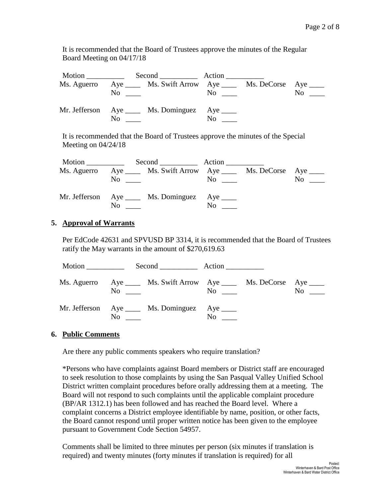It is recommended that the Board of Trustees approve the minutes of the Regular Board Meeting on 04/17/18

|             | Motion Second Action                                 |                                                                                                                              |  |
|-------------|------------------------------------------------------|------------------------------------------------------------------------------------------------------------------------------|--|
| Ms. Aguerro | $\overline{N}$ $\overline{N}$                        | Aye _______ Ms. Swift Arrow Aye _______ Ms. DeCorse Aye _____<br>N <sub>0</sub><br>$\overline{N}$ o $\overline{\phantom{0}}$ |  |
|             | Mr. Jefferson Aye ____ Ms. Dominguez Aye ____<br>No. | No.                                                                                                                          |  |

It is recommended that the Board of Trustees approve the minutes of the Special Meeting on 04/24/18

|     | Ms. Aguerro Aye ______ Ms. Swift Arrow Aye ______ Ms. DeCorse Aye _____<br>$\rm No$ | $\overline{N}$ o $\overline{\phantom{0}}$ | N <sub>o</sub> |
|-----|-------------------------------------------------------------------------------------|-------------------------------------------|----------------|
| No. | Mr. Jefferson Aye ____ Ms. Dominguez Aye ____                                       | No.                                       |                |

## **5. Approval of Warrants**

Per EdCode 42631 and SPVUSD BP 3314, it is recommended that the Board of Trustees ratify the May warrants in the amount of \$270,619.63

| Motion $\qquad$ |     |                                                                                  | Second Action |                                           |           |
|-----------------|-----|----------------------------------------------------------------------------------|---------------|-------------------------------------------|-----------|
|                 |     | Ms. Aguerro Aye _____ Ms. Swift Arrow Aye _____ Ms. DeCorse Aye ____<br>$\rm No$ |               | $\overline{N}$ o $\overline{\phantom{0}}$ | $No \ \_$ |
|                 | No. | Mr. Jefferson Aye ____ Ms. Dominguez Aye ____                                    | No.           |                                           |           |

#### **6. Public Comments**

Are there any public comments speakers who require translation?

\*Persons who have complaints against Board members or District staff are encouraged to seek resolution to those complaints by using the San Pasqual Valley Unified School District written complaint procedures before orally addressing them at a meeting. The Board will not respond to such complaints until the applicable complaint procedure (BP/AR 1312.1) has been followed and has reached the Board level. Where a complaint concerns a District employee identifiable by name, position, or other facts, the Board cannot respond until proper written notice has been given to the employee pursuant to Government Code Section 54957.

Comments shall be limited to three minutes per person (six minutes if translation is required) and twenty minutes (forty minutes if translation is required) for all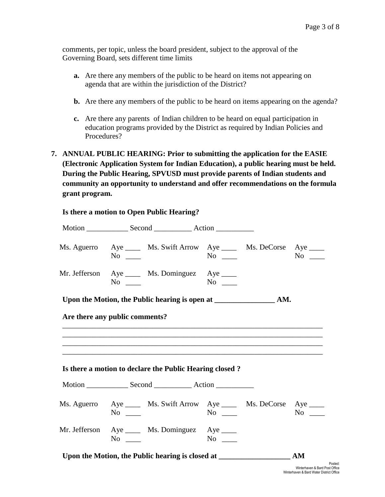comments, per topic, unless the board president, subject to the approval of the Governing Board, sets different time limits

- **a.** Are there any members of the public to be heard on items not appearing on agenda that are within the jurisdiction of the District?
- **b.** Are there any members of the public to be heard on items appearing on the agenda?
- **c.** Are there any parents of Indian children to be heard on equal participation in education programs provided by the District as required by Indian Policies and Procedures?
- **7. ANNUAL PUBLIC HEARING: Prior to submitting the application for the EASIE (Electronic Application System for Indian Education), a public hearing must be held. During the Public Hearing, SPVUSD must provide parents of Indian students and community an opportunity to understand and offer recommendations on the formula grant program.**

| Ms. Aguerro Aye _____ Ms. Swift Arrow Aye _____ Ms. DeCorse Aye ____<br>$No \ \_$ | $No \t —$ |           |
|-----------------------------------------------------------------------------------|-----------|-----------|
| Mr. Jefferson Aye _____ Ms. Dominguez Aye _____<br>$No \ \_$                      | No        |           |
|                                                                                   |           |           |
| Are there any public comments?                                                    |           |           |
|                                                                                   |           |           |
|                                                                                   |           |           |
| Is there a motion to declare the Public Hearing closed?                           |           |           |
|                                                                                   |           |           |
| Ms. Aguerro Aye _____ Ms. Swift Arrow Aye _____ Ms. DeCorse Aye ____<br>$No \_$   | $No \_$   | $No \ \_$ |
| Mr. Jefferson Aye _____ Ms. Dominguez Aye ____<br>$No \_$                         | $No \t —$ |           |
| Upon the Motion, the Public hearing is closed at                                  |           | AM        |

**Is there a motion to Open Public Hearing?**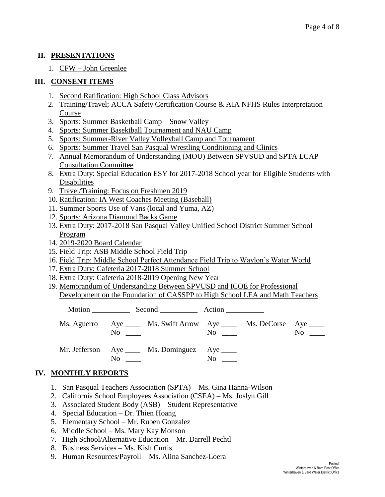## **II. PRESENTATIONS**

1. CFW – John Greenlee

# **III. CONSENT ITEMS**

- 1. Second Ratification: High School Class Advisors
- 2. Training/Travel; ACCA Safety Certification Course & AIA NFHS Rules Interpretation Course
- 3. Sports: Summer Basketball Camp Snow Valley
- 4. Sports: Summer Basektball Tournament and NAU Camp
- 5. Sports: Summer-River Valley Volleyball Camp and Tournament
- 6. Sports: Summer Travel San Pasqual Wrestling Conditioning and Clinics
- 7. Annual Memorandum of Understanding (MOU) Between SPVSUD and SPTA LCAP Consultation Committee
- 8. Extra Duty: Special Education ESY for 2017-2018 School year for Eligible Students with Disabilities
- 9. Travel/Training: Focus on Freshmen 2019
- 10. Ratification: IA West Coaches Meeting (Baseball)
- 11. Summer Sports Use of Vans (local and Yuma, AZ)
- 12. Sports: Arizona Diamond Backs Game
- 13. Extra Duty: 2017-2018 San Pasqual Valley Unified School District Summer School Program
- 14. 2019-2020 Board Calendar
- 15. Field Trip: ASB Middle School Field Trip
- 16. Field Trip: Middle School Perfect Attendance Field Trip to Waylon's Water World
- 17. Extra Duty: Cafeteria 2017-2018 Summer School
- 18. Extra Duty: Cafeteria 2018-2019 Opening New Year
- 19. Memorandum of Understanding Between SPVUSD and ICOE for Professional Development on the Foundation of CASSPP to High School LEA and Math Teachers

|  | N <sub>0</sub> | Ms. Aguerro Aye _____ Ms. Swift Arrow Aye _____ Ms. DeCorse Aye _____ | $\overline{N}$ o $\overline{\phantom{0}}$ |  | No. |
|--|----------------|-----------------------------------------------------------------------|-------------------------------------------|--|-----|
|  | No             | Mr. Jefferson Aye _____ Ms. Dominguez Aye _____                       | N <sub>0</sub>                            |  |     |

# **IV. MONTHLY REPORTS**

- 1. San Pasqual Teachers Association (SPTA) Ms. Gina Hanna-Wilson
- 2. California School Employees Association (CSEA) Ms. Joslyn Gill
- 3. Associated Student Body (ASB) Student Representative
- 4. Special Education Dr. Thien Hoang
- 5. Elementary School Mr. Ruben Gonzalez
- 6. Middle School Ms. Mary Kay Monson
- 7. High School/Alternative Education Mr. Darrell Pechtl
- 8. Business Services Ms. Kish Curtis
- 9. Human Resources/Payroll Ms. Alina Sanchez-Loera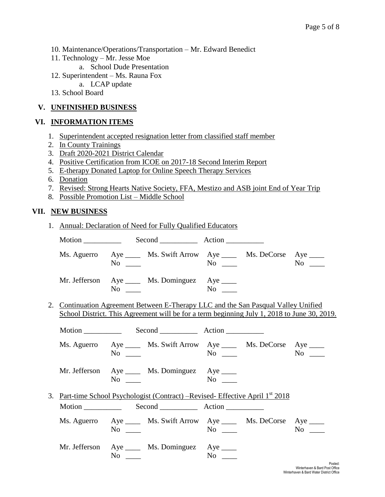- 10. Maintenance/Operations/Transportation Mr. Edward Benedict
- 11. Technology Mr. Jesse Moe
	- a. School Dude Presentation
- 12. Superintendent Ms. Rauna Fox
	- a. LCAP update
- 13. School Board

## **V. UNFINISHED BUSINESS**

# **VI. INFORMATION ITEMS**

- 1. Superintendent accepted resignation letter from classified staff member
- 2. In County Trainings
- 3. Draft 2020-2021 District Calendar
- 4. Positive Certification from ICOE on 2017-18 Second Interim Report
- 5. E-therapy Donated Laptop for Online Speech Therapy Services
- 6. Donation
- 7. Revised: Strong Hearts Native Society, FFA, Mestizo and ASB joint End of Year Trip
- 8. Possible Promotion List Middle School

## **VII. NEW BUSINESS**

|  | 1. Annual: Declaration of Need for Fully Qualified Educators                                                                                                                                                                                                                      |           |           |  |
|--|-----------------------------------------------------------------------------------------------------------------------------------------------------------------------------------------------------------------------------------------------------------------------------------|-----------|-----------|--|
|  |                                                                                                                                                                                                                                                                                   |           |           |  |
|  | Ms. Aguerro Aye _____ Ms. Swift Arrow Aye _____ Ms. DeCorse Aye ____<br>$No \ \_$                                                                                                                                                                                                 | $No \ \_$ | $No \_$   |  |
|  | Mr. Jefferson Aye _____ Ms. Dominguez Aye _____<br>No new contract the North State of the North State and State and State and State and State and State and State and State and State and State and State and State and State and State and State and State and State and State a |           |           |  |
|  | 2. Continuation Agreement Between E-Therapy LLC and the San Pasqual Valley Unified<br>School District. This Agreement will be for a term beginning July 1, 2018 to June 30, 2019.                                                                                                 |           |           |  |
|  | Motion Second Action                                                                                                                                                                                                                                                              |           |           |  |
|  | Ms. Aguerro Aye _____ Ms. Swift Arrow Aye _____ Ms. DeCorse Aye ____<br>$No \ \_$                                                                                                                                                                                                 | $No \_$   | $No \ \_$ |  |
|  | Mr. Jefferson Aye _____ Ms. Dominguez Aye _____<br>$No \ \_$                                                                                                                                                                                                                      |           |           |  |
|  | 3. Part-time School Psychologist (Contract) – Revised- Effective April 1 <sup>st</sup> 2018                                                                                                                                                                                       |           |           |  |
|  |                                                                                                                                                                                                                                                                                   |           |           |  |
|  | Ms. Aguerro Aye _____ Ms. Swift Arrow Aye _____ Ms. DeCorse Aye ____<br>$No \_\_$                                                                                                                                                                                                 | $No \ \_$ | $No \ \_$ |  |
|  | Mr. Jefferson Aye _____ Ms. Dominguez Aye ____<br>$No \_$                                                                                                                                                                                                                         | $No \ \_$ |           |  |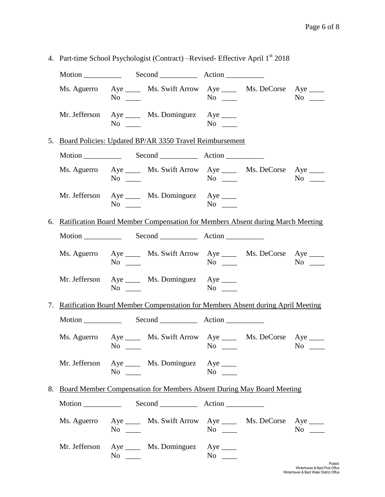|  |           |                                                                                                                 | $\mu$ and $\mu$ and $\mu$ and $\mu$ and $\mu$ and $\mu$ and $\mu$ and $\mu$ |  |           |  |
|--|-----------|-----------------------------------------------------------------------------------------------------------------|-----------------------------------------------------------------------------|--|-----------|--|
|  |           |                                                                                                                 |                                                                             |  |           |  |
|  |           | Ms. Aguerro Aye _____ Ms. Swift Arrow Aye _____ Ms. DeCorse Aye ____<br>$No \ \_\_$                             | $No \ \_$                                                                   |  | $No \_\_$ |  |
|  |           | Mr. Jefferson Aye _____ Ms. Dominguez Aye _____<br>$\overline{N_0}$ $\overline{\phantom{0}}$                    | $\mathrm{No} \ \_\_\_\$                                                     |  |           |  |
|  |           | 5. Board Policies: Updated BP/AR 3350 Travel Reimbursement                                                      |                                                                             |  |           |  |
|  |           |                                                                                                                 |                                                                             |  |           |  |
|  |           | Ms. Aguerro Aye _____ Ms. Swift Arrow Aye _____ Ms. DeCorse Aye ____<br>$\text{No}$ $\text{No}$ $\text{No}$     |                                                                             |  |           |  |
|  |           | Mr. Jefferson Aye _____ Ms. Dominguez Aye _____<br>$\mathrm{No}$ $\mathrm{No}$ $\mathrm{No}$ $\mathrm{No}$      |                                                                             |  |           |  |
|  |           | 6. Ratification Board Member Compensation for Members Absent during March Meeting                               |                                                                             |  |           |  |
|  |           |                                                                                                                 |                                                                             |  |           |  |
|  |           | Ms. Aguerro Aye _____ Ms. Swift Arrow Aye _____ Ms. DeCorse Aye ____<br>$\overline{N}$ $\overline{\phantom{N}}$ | $\overline{N_0}$ $\overline{\phantom{0}}$                                   |  | $No \ \_$ |  |
|  | $No \ \_$ | Mr. Jefferson Aye _____ Ms. Dominguez Aye ____                                                                  |                                                                             |  |           |  |
|  |           | 7. Ratification Board Member Compenstation for Members Absent during April Meeting                              |                                                                             |  |           |  |
|  |           |                                                                                                                 |                                                                             |  |           |  |
|  | $No \ \_$ | Ms. Aguerro Aye ______ Ms. Swift Arrow Aye ______ Ms. DeCorse Aye _____                                         | $No \ \_$                                                                   |  | $No \ \_$ |  |
|  | $No \ \_$ | Mr. Jefferson Aye ____ Ms. Dominguez Aye ____                                                                   | $No \t —$                                                                   |  |           |  |
|  |           | 8. Board Member Compensation for Members Absent During May Board Meeting                                        |                                                                             |  |           |  |
|  |           |                                                                                                                 |                                                                             |  |           |  |
|  | $No \ \_$ | Ms. Aguerro Aye _____ Ms. Swift Arrow Aye _____ Ms. DeCorse Aye ____                                            | $No \_$                                                                     |  | $No \_$   |  |
|  |           | Mr. Jefferson Aye _____ Ms. Dominguez Aye _____<br>$No \ \_$                                                    | No $\qquad$                                                                 |  |           |  |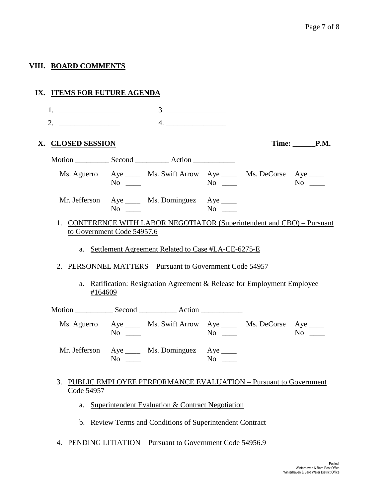## **VIII. BOARD COMMENTS**

| IX. ITEMS FOR FUTURE AGENDA |                                                                                                                                                                                                                               |                                                                                                                                                                                              |                  |                    |
|-----------------------------|-------------------------------------------------------------------------------------------------------------------------------------------------------------------------------------------------------------------------------|----------------------------------------------------------------------------------------------------------------------------------------------------------------------------------------------|------------------|--------------------|
|                             |                                                                                                                                                                                                                               |                                                                                                                                                                                              |                  |                    |
|                             |                                                                                                                                                                                                                               | 4.                                                                                                                                                                                           |                  |                    |
| X. CLOSED SESSION           |                                                                                                                                                                                                                               |                                                                                                                                                                                              |                  | Time: P.M.         |
|                             |                                                                                                                                                                                                                               |                                                                                                                                                                                              |                  |                    |
|                             | $No \ \_$                                                                                                                                                                                                                     | Ms. Aguerro Aye _____ Ms. Swift Arrow Aye _____ Ms. DeCorse Aye ____                                                                                                                         |                  | $\overline{N_{0}}$ |
|                             | $No \ \_$                                                                                                                                                                                                                     | Mr. Jefferson Aye _____ Ms. Dominguez Aye ____                                                                                                                                               | $\overline{N_0}$ |                    |
| to Government Code 54957.6  |                                                                                                                                                                                                                               | 1. CONFERENCE WITH LABOR NEGOTIATOR (Superintendent and CBO) - Pursuant<br>a. Settlement Agreement Related to Case #LA-CE-6275-E<br>2. PERSONNEL MATTERS - Pursuant to Government Code 54957 |                  |                    |
| #164609                     |                                                                                                                                                                                                                               | a. Ratification: Resignation Agreement & Release for Employment Employee                                                                                                                     |                  |                    |
|                             |                                                                                                                                                                                                                               |                                                                                                                                                                                              |                  |                    |
|                             | $No \ \_$                                                                                                                                                                                                                     | Ms. Aguerro Aye _____ Ms. Swift Arrow Aye _____ Ms. DeCorse Aye ____                                                                                                                         | $No \ \_$        | $No \_$            |
|                             | No note that the set of the set of the set of the set of the set of the set of the set of the set of the set of the set of the set of the set of the set of the set of the set of the set of the set of the set of the set of | Mr. Jefferson Aye _____ Ms. Dominguez Aye _____                                                                                                                                              | No no            |                    |
| Code 54957                  |                                                                                                                                                                                                                               | 3. PUBLIC EMPLOYEE PERFORMANCE EVALUATION - Pursuant to Government                                                                                                                           |                  |                    |
|                             |                                                                                                                                                                                                                               | a. Superintendent Evaluation & Contract Negotiation                                                                                                                                          |                  |                    |

- b. Review Terms and Conditions of Superintendent Contract
- 4. PENDING LITIATION Pursuant to Government Code 54956.9